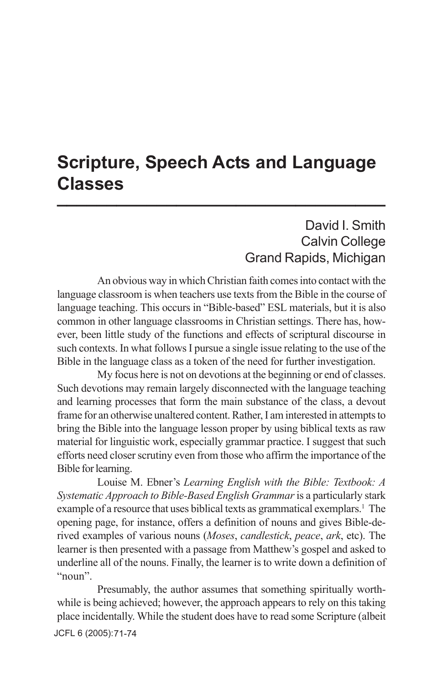## **Scripture, Speech Acts and Language Classes \_\_\_\_\_\_\_\_\_\_\_\_\_\_\_\_\_\_\_\_\_\_\_\_\_\_\_\_\_\_\_\_\_**

## David I. Smith Calvin College Grand Rapids, Michigan

An obvious way in which Christian faith comes into contact with the language classroom is when teachers use texts from the Bible in the course of language teaching. This occurs in "Bible-based" ESL materials, but it is also common in other language classrooms in Christian settings. There has, however, been little study of the functions and effects of scriptural discourse in such contexts. In what follows I pursue a single issue relating to the use of the Bible in the language class as a token of the need for further investigation.

My focus here is not on devotions at the beginning or end of classes. Such devotions may remain largely disconnected with the language teaching and learning processes that form the main substance of the class, a devout frame for an otherwise unaltered content. Rather, I am interested in attempts to bring the Bible into the language lesson proper by using biblical texts as raw material for linguistic work, especially grammar practice. I suggest that such efforts need closer scrutiny even from those who affirm the importance of the Bible for learning.

Louise M. Ebner's *Learning English with the Bible: Textbook: A Systematic Approach to Bible-Based English Grammar* is a particularly stark example of a resource that uses biblical texts as grammatical exemplars.<sup>1</sup> The opening page, for instance, offers a definition of nouns and gives Bible-derived examples of various nouns (*Moses*, *candlestick*, *peace*, *ark*, etc). The learner is then presented with a passage from Matthew's gospel and asked to underline all of the nouns. Finally, the learner is to write down a definition of "noun".

JCFL 6 (2005): 71-74Presumably, the author assumes that something spiritually worthwhile is being achieved; however, the approach appears to rely on this taking place incidentally. While the student does have to read some Scripture (albeit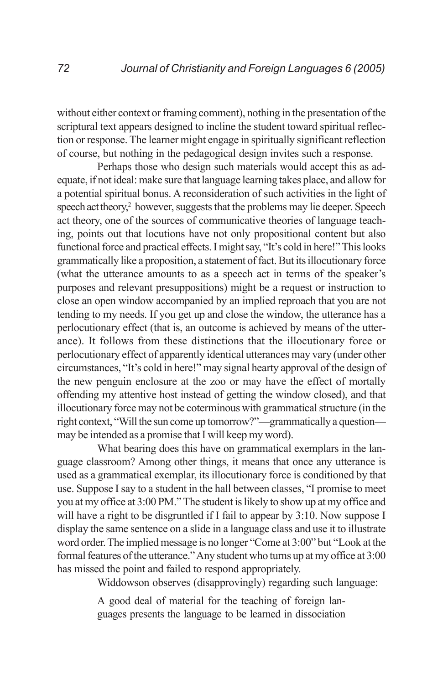without either context or framing comment), nothing in the presentation of the scriptural text appears designed to incline the student toward spiritual reflection or response. The learner might engage in spiritually significant reflection of course, but nothing in the pedagogical design invites such a response.

Perhaps those who design such materials would accept this as adequate, if not ideal: make sure that language learning takes place, and allow for a potential spiritual bonus. A reconsideration of such activities in the light of speech act theory,<sup>2</sup> however, suggests that the problems may lie deeper. Speech act theory, one of the sources of communicative theories of language teaching, points out that locutions have not only propositional content but also functional force and practical effects. I might say, "It's cold in here!" This looks grammatically like a proposition, a statement of fact. But its illocutionary force (what the utterance amounts to as a speech act in terms of the speaker's purposes and relevant presuppositions) might be a request or instruction to close an open window accompanied by an implied reproach that you are not tending to my needs. If you get up and close the window, the utterance has a perlocutionary effect (that is, an outcome is achieved by means of the utterance). It follows from these distinctions that the illocutionary force or perlocutionary effect of apparently identical utterances may vary (under other circumstances, "It's cold in here!" may signal hearty approval of the design of the new penguin enclosure at the zoo or may have the effect of mortally offending my attentive host instead of getting the window closed), and that illocutionary force may not be coterminous with grammatical structure (in the right context, "Will the sun come up tomorrow?"—grammatically a question may be intended as a promise that I will keep my word).

What bearing does this have on grammatical exemplars in the language classroom? Among other things, it means that once any utterance is used as a grammatical exemplar, its illocutionary force is conditioned by that use. Suppose I say to a student in the hall between classes, "I promise to meet you at my office at 3:00 PM." The student is likely to show up at my office and will have a right to be disgruntled if I fail to appear by 3:10. Now suppose I display the same sentence on a slide in a language class and use it to illustrate word order. The implied message is no longer "Come at 3:00" but "Look at the formal features of the utterance." Any student who turns up at my office at 3:00 has missed the point and failed to respond appropriately.

Widdowson observes (disapprovingly) regarding such language:

A good deal of material for the teaching of foreign languages presents the language to be learned in dissociation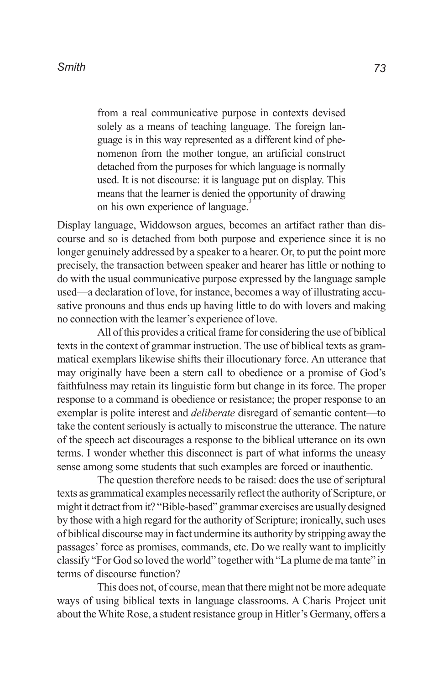from a real communicative purpose in contexts devised solely as a means of teaching language. The foreign language is in this way represented as a different kind of phenomenon from the mother tongue, an artificial construct detached from the purposes for which language is normally used. It is not discourse: it is language put on display. This means that the learner is denied the opportunity of drawing on his own experience of language.

Display language, Widdowson argues, becomes an artifact rather than discourse and so is detached from both purpose and experience since it is no longer genuinely addressed by a speaker to a hearer. Or, to put the point more precisely, the transaction between speaker and hearer has little or nothing to do with the usual communicative purpose expressed by the language sample used—a declaration of love, for instance, becomes a way of illustrating accusative pronouns and thus ends up having little to do with lovers and making no connection with the learner's experience of love.

All of this provides a critical frame for considering the use of biblical texts in the context of grammar instruction. The use of biblical texts as grammatical exemplars likewise shifts their illocutionary force. An utterance that may originally have been a stern call to obedience or a promise of God's faithfulness may retain its linguistic form but change in its force. The proper response to a command is obedience or resistance; the proper response to an exemplar is polite interest and *deliberate* disregard of semantic content—to take the content seriously is actually to misconstrue the utterance. The nature of the speech act discourages a response to the biblical utterance on its own terms. I wonder whether this disconnect is part of what informs the uneasy sense among some students that such examples are forced or inauthentic.

The question therefore needs to be raised: does the use of scriptural texts as grammatical examples necessarily reflect the authority of Scripture, or might it detract from it? "Bible-based" grammar exercises are usually designed by those with a high regard for the authority of Scripture; ironically, such uses of biblical discourse may in fact undermine its authority by stripping away the passages' force as promises, commands, etc. Do we really want to implicitly classify "For God so loved the world" together with "La plume de ma tante" in terms of discourse function?

This does not, of course, mean that there might not be more adequate ways of using biblical texts in language classrooms. A Charis Project unit about the White Rose, a student resistance group in Hitler's Germany, offers a